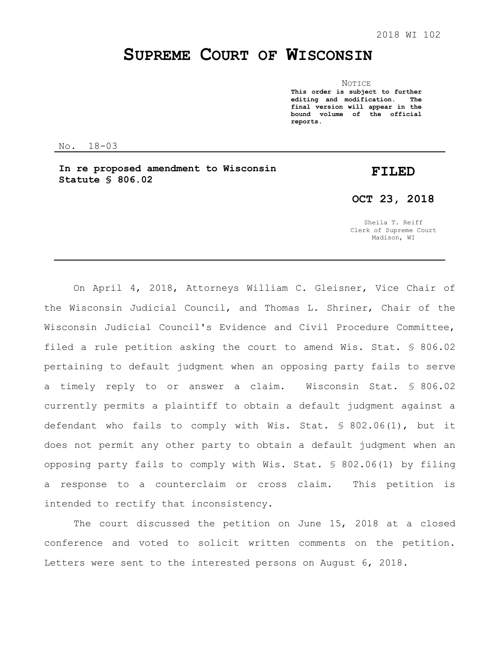## **SUPREME COURT OF WISCONSIN**

NOTICE **This order is subject to further editing and modification. The final version will appear in the bound volume of the official reports.**

No. 18-03

**In re proposed amendment to Wisconsin Statute § 806.02** 

## **FILED**

**OCT 23, 2018**

Sheila T. Reiff Clerk of Supreme Court Madison, WI

On April 4, 2018, Attorneys William C. Gleisner, Vice Chair of the Wisconsin Judicial Council, and Thomas L. Shriner, Chair of the Wisconsin Judicial Council's Evidence and Civil Procedure Committee, filed a rule petition asking the court to amend Wis. Stat. § 806.02 pertaining to default judgment when an opposing party fails to serve a timely reply to or answer a claim. Wisconsin Stat. § 806.02 currently permits a plaintiff to obtain a default judgment against a defendant who fails to comply with Wis. Stat. § 802.06(1), but it does not permit any other party to obtain a default judgment when an opposing party fails to comply with Wis. Stat. § 802.06(1) by filing a response to a counterclaim or cross claim. This petition is intended to rectify that inconsistency.

The court discussed the petition on June 15, 2018 at a closed conference and voted to solicit written comments on the petition. Letters were sent to the interested persons on August 6, 2018.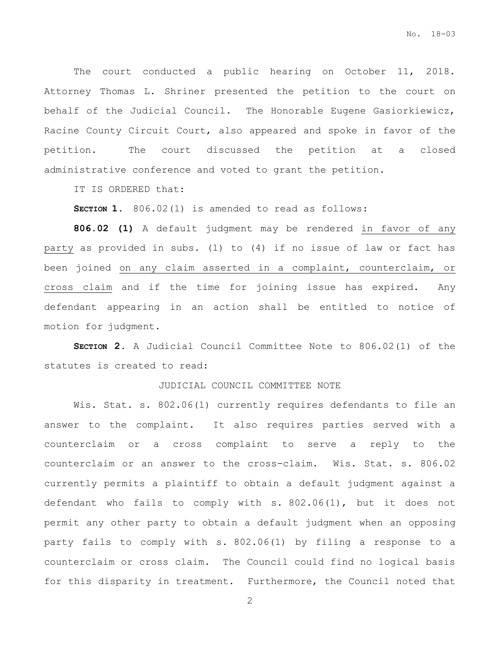The court conducted a public hearing on October 11, 2018. Attorney Thomas L. Shriner presented the petition to the court on behalf of the Judicial Council. The Honorable Eugene Gasiorkiewicz, Racine County Circuit Court, also appeared and spoke in favor of the petition. The court discussed the petition at a closed administrative conference and voted to grant the petition.

IT IS ORDERED that:

**SECTION 1.** 806.02(1) is amended to read as follows:

**806.02 (1)** A default judgment may be rendered in favor of any party as provided in subs. (1) to (4) if no issue of law or fact has been joined on any claim asserted in a complaint, counterclaim, or cross claim and if the time for joining issue has expired. Any defendant appearing in an action shall be entitled to notice of motion for judgment.

**SECTION 2.** A Judicial Council Committee Note to 806.02(1) of the statutes is created to read:

## JUDICIAL COUNCIL COMMITTEE NOTE

Wis. Stat. s. 802.06(1) currently requires defendants to file an answer to the complaint. It also requires parties served with a counterclaim or a cross complaint to serve a reply to the counterclaim or an answer to the cross-claim. Wis. Stat. s. 806.02 currently permits a plaintiff to obtain a default judgment against a defendant who fails to comply with s. 802.06(1), but it does not permit any other party to obtain a default judgment when an opposing party fails to comply with s. 802.06(1) by filing a response to a counterclaim or cross claim. The Council could find no logical basis for this disparity in treatment. Furthermore, the Council noted that

2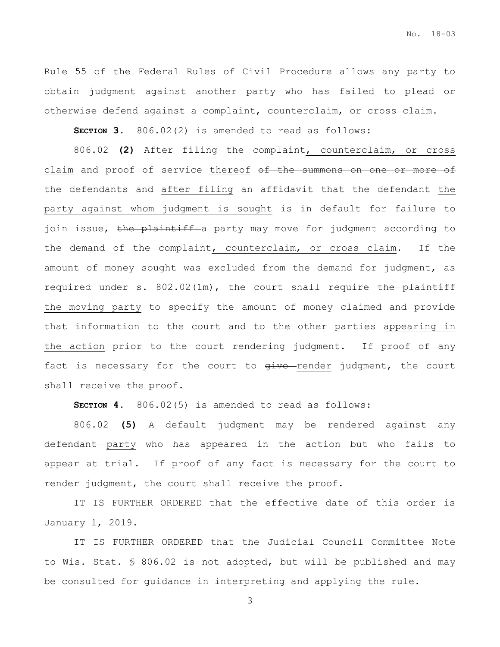Rule 55 of the Federal Rules of Civil Procedure allows any party to obtain judgment against another party who has failed to plead or otherwise defend against a complaint, counterclaim, or cross claim.

**SECTION 3.** 806.02(2) is amended to read as follows:

806.02 **(2)** After filing the complaint, counterclaim, or cross claim and proof of service thereof of the summons on one or more of the defendants and after filing an affidavit that the defendant the party against whom judgment is sought is in default for failure to join issue, the plaintiff a party may move for judgment according to the demand of the complaint, counterclaim, or cross claim. If the amount of money sought was excluded from the demand for judgment, as required under s.  $802.02(1m)$ , the court shall require the plaintiff the moving party to specify the amount of money claimed and provide that information to the court and to the other parties appearing in the action prior to the court rendering judgment. If proof of any fact is necessary for the court to  $g$ ive render judgment, the court shall receive the proof.

**SECTION 4.** 806.02(5) is amended to read as follows:

806.02 **(5)** A default judgment may be rendered against any defendant party who has appeared in the action but who fails to appear at trial. If proof of any fact is necessary for the court to render judgment, the court shall receive the proof.

IT IS FURTHER ORDERED that the effective date of this order is January 1, 2019.

IT IS FURTHER ORDERED that the Judicial Council Committee Note to Wis. Stat. § 806.02 is not adopted, but will be published and may be consulted for guidance in interpreting and applying the rule.

3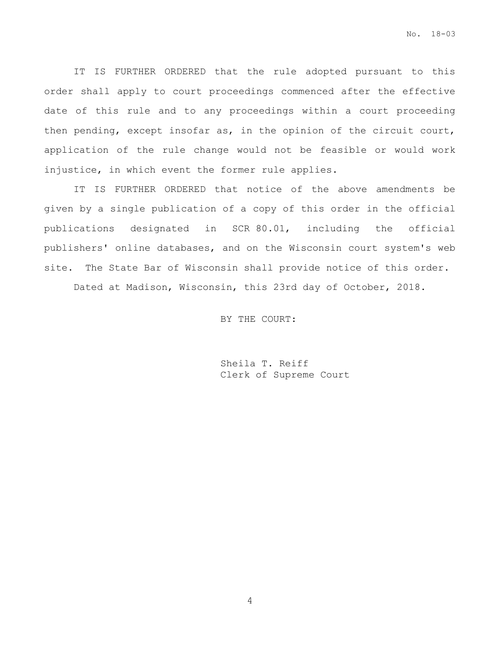IT IS FURTHER ORDERED that the rule adopted pursuant to this order shall apply to court proceedings commenced after the effective date of this rule and to any proceedings within a court proceeding then pending, except insofar as, in the opinion of the circuit court, application of the rule change would not be feasible or would work injustice, in which event the former rule applies.

IT IS FURTHER ORDERED that notice of the above amendments be given by a single publication of a copy of this order in the official publications designated in SCR 80.01, including the official publishers' online databases, and on the Wisconsin court system's web site. The State Bar of Wisconsin shall provide notice of this order.

Dated at Madison, Wisconsin, this 23rd day of October, 2018.

BY THE COURT:

Sheila T. Reiff Clerk of Supreme Court